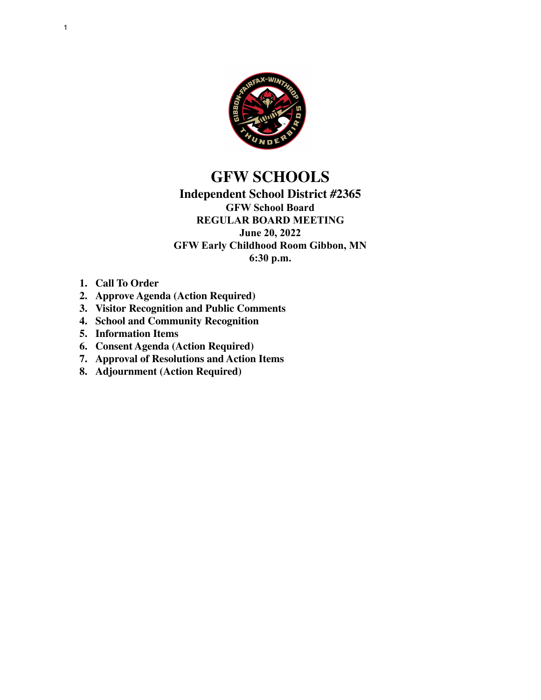

# **GFW SCHOOLS**

### **Independent School District #2365 GFW School Board REGULAR BOARD MEETING June 20, 2022 GFW Early Childhood Room Gibbon, MN 6:30 p.m.**

- **1. Call To Order**
- **2. Approve Agenda (Action Required)**
- **3. Visitor Recognition and Public Comments**
- **4. School and Community Recognition**
- **5. Information Items**
- **6. Consent Agenda (Action Required)**
- **7. Approval of Resolutions and Action Items**
- **8. Adjournment (Action Required)**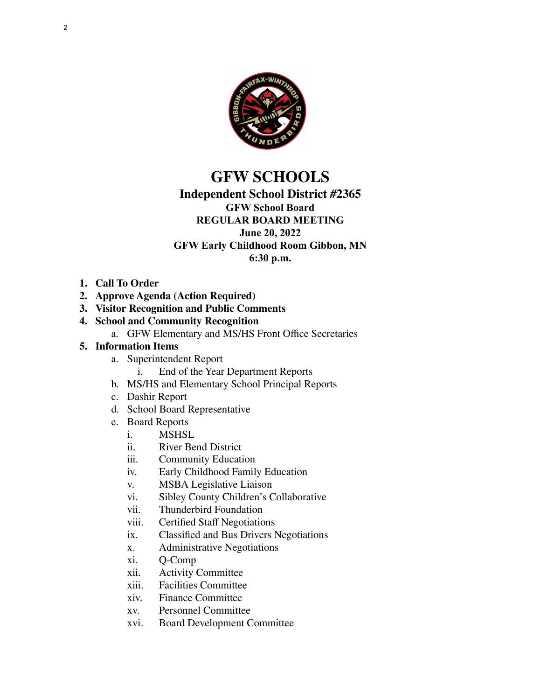

# **GFW SCHOOLS**

## **Independent School District #2365**

### **GFW School Board REGULAR BOARD MEETING June 20, 2022 GFW Early Childhood Room Gibbon, MN**

**6:30 p.m.**

- **1. Call To Order**
- **2. Approve Agenda (Action Required)**
- **3. Visitor Recognition and Public Comments**
- **4. School and Community Recognition**
	- a. GFW Elementary and MS/HS Front Office Secretaries

#### **5. Information Items**

- a. Superintendent Report
	- i. End of the Year Department Reports
- b. MS/HS and Elementary School Principal Reports
- c. Dashir Report
- d. School Board Representative
- e. Board Reports
	- **MSHSL**
	- ii. River Bend District
	- iii. Community Education
	- iv. Early Childhood Family Education
	- v. MSBA Legislative Liaison
	- vi. Sibley County Children's Collaborative
	- vii. Thunderbird Foundation
	- viii. Certified Staff Negotiations
	- ix. Classified and Bus Drivers Negotiations
	- x. Administrative Negotiations
	- xi. Q-Comp
	- xii. Activity Committee
	- xiii. Facilities Committee
	- xiv. Finance Committee
	- xv. Personnel Committee
	- xvi. Board Development Committee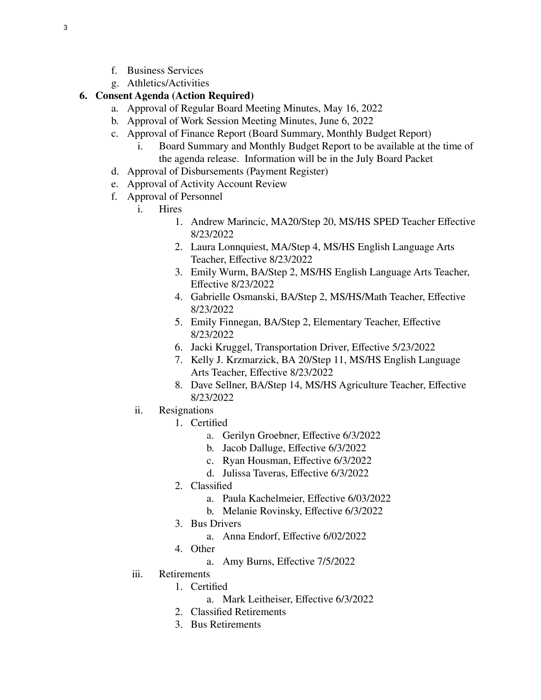- f. Business Services
- g. Athletics/Activities

### **6. Consent Agenda (Action Required)**

- a. Approval of Regular Board Meeting Minutes, May 16, 2022
- b. Approval of Work Session Meeting Minutes, June 6, 2022
- c. Approval of Finance Report (Board Summary, Monthly Budget Report)
	- i. Board Summary and Monthly Budget Report to be available at the time of the agenda release. Information will be in the July Board Packet
- d. Approval of Disbursements (Payment Register)
- e. Approval of Activity Account Review
- f. Approval of Personnel
	- i. Hires
		- 1. Andrew Marincic, MA20/Step 20, MS/HS SPED Teacher Effective 8/23/2022
		- 2. Laura Lonnquiest, MA/Step 4, MS/HS English Language Arts Teacher, Effective 8/23/2022
		- 3. Emily Wurm, BA/Step 2, MS/HS English Language Arts Teacher, Effective 8/23/2022
		- 4. Gabrielle Osmanski, BA/Step 2, MS/HS/Math Teacher, Effective 8/23/2022
		- 5. Emily Finnegan, BA/Step 2, Elementary Teacher, Effective 8/23/2022
		- 6. Jacki Kruggel, Transportation Driver, Effective 5/23/2022
		- 7. Kelly J. Krzmarzick, BA 20/Step 11, MS/HS English Language Arts Teacher, Effective 8/23/2022
		- 8. Dave Sellner, BA/Step 14, MS/HS Agriculture Teacher, Effective 8/23/2022
	- ii. Resignations
		- 1. Certified
			- a. Gerilyn Groebner, Effective 6/3/2022
			- b. Jacob Dalluge, Effective 6/3/2022
			- c. Ryan Housman, Effective 6/3/2022
			- d. Julissa Taveras, Effective 6/3/2022
		- 2. Classified
			- a. Paula Kachelmeier, Effective 6/03/2022
			- b. Melanie Rovinsky, Effective 6/3/2022
		- 3. Bus Drivers
			- a. Anna Endorf, Effective 6/02/2022
		- 4. Other
			- a. Amy Burns, Effective 7/5/2022
	- iii. Retirements
		- 1. Certified
			- a. Mark Leitheiser, Effective 6/3/2022
		- 2. Classified Retirements
		- 3. Bus Retirements